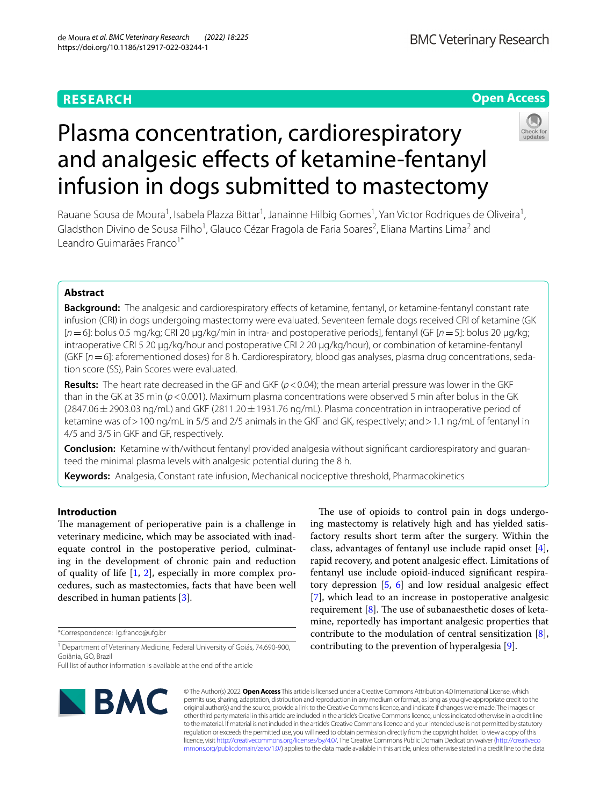# **RESEARCH**

# **Open Access**



# Plasma concentration, cardiorespiratory and analgesic effects of ketamine-fentanyl infusion in dogs submitted to mastectomy

Rauane Sousa de Moura<sup>1</sup>, Isabela Plazza Bittar<sup>1</sup>, Janainne Hilbig Gomes<sup>1</sup>, Yan Victor Rodrigues de Oliveira<sup>1</sup>, Gladsthon Divino de Sousa Filho<sup>1</sup>, Glauco Cézar Fragola de Faria Soares<sup>2</sup>, Eliana Martins Lima<sup>2</sup> and Leandro Guimarães Franco<sup>1\*</sup>

# **Abstract**

**Background:** The analgesic and cardiorespiratory effects of ketamine, fentanyl, or ketamine-fentanyl constant rate infusion (CRI) in dogs undergoing mastectomy were evaluated. Seventeen female dogs received CRI of ketamine (GK [*n*=6]: bolus 0.5 mg/kg; CRI 20 µg/kg/min in intra- and postoperative periods], fentanyl (GF [*n*=5]: bolus 20 µg/kg; intraoperative CRI 5 20 µg/kg/hour and postoperative CRI 2 20 µg/kg/hour), or combination of ketamine-fentanyl (GKF [*n*=6]: aforementioned doses) for 8 h. Cardiorespiratory, blood gas analyses, plasma drug concentrations, sedation score (SS), Pain Scores were evaluated.

**Results:** The heart rate decreased in the GF and GKF ( $p$  < 0.04); the mean arterial pressure was lower in the GKF than in the GK at 35 min (*p*<0.001). Maximum plasma concentrations were observed 5 min after bolus in the GK  $(2847.06 \pm 2903.03$  ng/mL) and GKF  $(2811.20 \pm 1931.76$  ng/mL). Plasma concentration in intraoperative period of ketamine was of>100 ng/mL in 5/5 and 2/5 animals in the GKF and GK, respectively; and>1.1 ng/mL of fentanyl in 4/5 and 3/5 in GKF and GF, respectively.

**Conclusion:** Ketamine with/without fentanyl provided analgesia without signifcant cardiorespiratory and guaranteed the minimal plasma levels with analgesic potential during the 8 h.

**Keywords:** Analgesia, Constant rate infusion, Mechanical nociceptive threshold, Pharmacokinetics

## **Introduction**

The management of perioperative pain is a challenge in veterinary medicine, which may be associated with inadequate control in the postoperative period, culminating in the development of chronic pain and reduction of quality of life [[1](#page-8-0), [2](#page-8-1)], especially in more complex procedures, such as mastectomies, facts that have been well described in human patients [\[3](#page-8-2)].

\*Correspondence: lg.franco@ufg.br

<sup>1</sup> Department of Veterinary Medicine, Federal University of Goiás, 74.690-900, Goiânia, GO, Brazil

Full list of author information is available at the end of the article



The use of opioids to control pain in dogs undergoing mastectomy is relatively high and has yielded satisfactory results short term after the surgery. Within the class, advantages of fentanyl use include rapid onset [\[4](#page-8-3)], rapid recovery, and potent analgesic efect. Limitations of fentanyl use include opioid-induced signifcant respiratory depression  $\left[5, 6\right]$  $\left[5, 6\right]$  $\left[5, 6\right]$  $\left[5, 6\right]$  $\left[5, 6\right]$  and low residual analgesic effect [[7\]](#page-8-6), which lead to an increase in postoperative analgesic requirement  $[8]$  $[8]$ . The use of subanaesthetic doses of ketamine, reportedly has important analgesic properties that contribute to the modulation of central sensitization [\[8](#page-8-7)], contributing to the prevention of hyperalgesia [\[9](#page-8-8)].

© The Author(s) 2022. **Open Access** This article is licensed under a Creative Commons Attribution 4.0 International License, which permits use, sharing, adaptation, distribution and reproduction in any medium or format, as long as you give appropriate credit to the original author(s) and the source, provide a link to the Creative Commons licence, and indicate if changes were made. The images or other third party material in this article are included in the article's Creative Commons licence, unless indicated otherwise in a credit line to the material. If material is not included in the article's Creative Commons licence and your intended use is not permitted by statutory regulation or exceeds the permitted use, you will need to obtain permission directly from the copyright holder. To view a copy of this licence, visit [http://creativecommons.org/licenses/by/4.0/.](http://creativecommons.org/licenses/by/4.0/) The Creative Commons Public Domain Dedication waiver ([http://creativeco](http://creativecommons.org/publicdomain/zero/1.0/) [mmons.org/publicdomain/zero/1.0/](http://creativecommons.org/publicdomain/zero/1.0/)) applies to the data made available in this article, unless otherwise stated in a credit line to the data.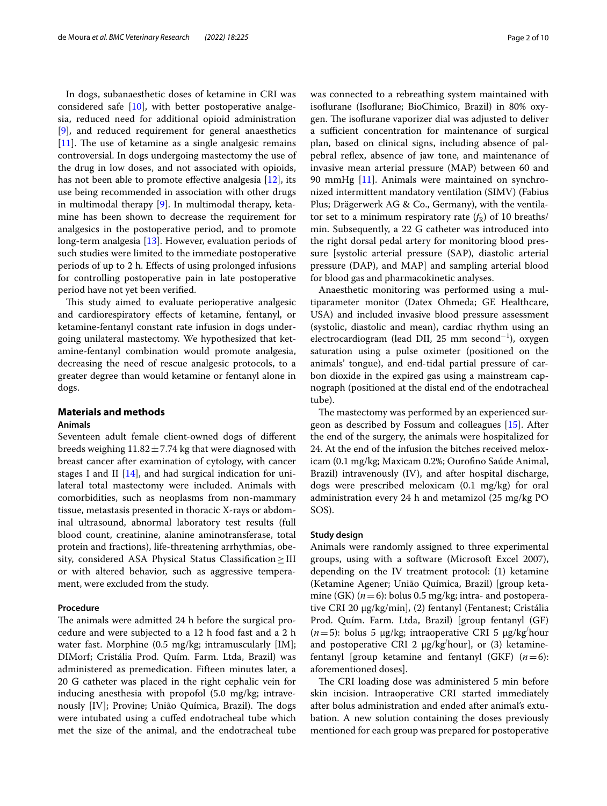In dogs, subanaesthetic doses of ketamine in CRI was considered safe  $[10]$  $[10]$ , with better postoperative analgesia, reduced need for additional opioid administration [[9\]](#page-8-8), and reduced requirement for general anaesthetics  $[11]$  $[11]$ . The use of ketamine as a single analgesic remains controversial. In dogs undergoing mastectomy the use of the drug in low doses, and not associated with opioids, has not been able to promote effective analgesia [\[12](#page-8-11)], its use being recommended in association with other drugs in multimodal therapy [[9\]](#page-8-8). In multimodal therapy, ketamine has been shown to decrease the requirement for analgesics in the postoperative period, and to promote long-term analgesia [\[13\]](#page-8-12). However, evaluation periods of such studies were limited to the immediate postoperative periods of up to 2 h. Efects of using prolonged infusions for controlling postoperative pain in late postoperative period have not yet been verifed.

This study aimed to evaluate perioperative analgesic and cardiorespiratory efects of ketamine, fentanyl, or ketamine-fentanyl constant rate infusion in dogs undergoing unilateral mastectomy. We hypothesized that ketamine-fentanyl combination would promote analgesia, decreasing the need of rescue analgesic protocols, to a greater degree than would ketamine or fentanyl alone in dogs.

# **Materials and methods**

#### **Animals**

Seventeen adult female client-owned dogs of diferent breeds weighing  $11.82 \pm 7.74$  kg that were diagnosed with breast cancer after examination of cytology, with cancer stages I and II [[14\]](#page-8-13), and had surgical indication for unilateral total mastectomy were included. Animals with comorbidities, such as neoplasms from non-mammary tissue, metastasis presented in thoracic X-rays or abdominal ultrasound, abnormal laboratory test results (full blood count, creatinine, alanine aminotransferase, total protein and fractions), life-threatening arrhythmias, obesity, considered ASA Physical Status Classifcation≥III or with altered behavior, such as aggressive temperament, were excluded from the study.

#### **Procedure**

The animals were admitted 24 h before the surgical procedure and were subjected to a 12 h food fast and a 2 h water fast. Morphine (0.5 mg/kg; intramuscularly [IM]; DIMorf; Cristália Prod. Quím. Farm. Ltda, Brazil) was administered as premedication. Fifteen minutes later, a 20 G catheter was placed in the right cephalic vein for inducing anesthesia with propofol (5.0 mg/kg; intravenously [IV]; Provine; União Química, Brazil). The dogs were intubated using a cufed endotracheal tube which met the size of the animal, and the endotracheal tube was connected to a rebreathing system maintained with isofurane (Isofurane; BioChimico, Brazil) in 80% oxygen. The isoflurane vaporizer dial was adjusted to deliver a sufficient concentration for maintenance of surgical plan, based on clinical signs, including absence of palpebral reflex, absence of jaw tone, and maintenance of invasive mean arterial pressure (MAP) between 60 and 90 mmHg [\[11\]](#page-8-10). Animals were maintained on synchronized intermittent mandatory ventilation (SIMV) (Fabius Plus; Drägerwerk AG & Co., Germany), with the ventilator set to a minimum respiratory rate  $(f_R)$  of 10 breaths/ min. Subsequently, a 22 G catheter was introduced into the right dorsal pedal artery for monitoring blood pressure [systolic arterial pressure (SAP), diastolic arterial pressure (DAP), and MAP] and sampling arterial blood for blood gas and pharmacokinetic analyses.

Anaesthetic monitoring was performed using a multiparameter monitor (Datex Ohmeda; GE Healthcare, USA) and included invasive blood pressure assessment (systolic, diastolic and mean), cardiac rhythm using an electrocardiogram (lead DII, 25 mm second<sup>-1</sup>), oxygen saturation using a pulse oximeter (positioned on the animals' tongue), and end-tidal partial pressure of carbon dioxide in the expired gas using a mainstream capnograph (positioned at the distal end of the endotracheal tube).

The mastectomy was performed by an experienced surgeon as described by Fossum and colleagues [\[15](#page-8-14)]. After the end of the surgery, the animals were hospitalized for 24. At the end of the infusion the bitches received meloxicam (0.1 mg/kg; Maxicam 0.2%; Ourofno Saúde Animal, Brazil) intravenously (IV), and after hospital discharge, dogs were prescribed meloxicam (0.1 mg/kg) for oral administration every 24 h and metamizol (25 mg/kg PO SOS).

#### **Study design**

Animals were randomly assigned to three experimental groups, using with a software (Microsoft Excel 2007), depending on the IV treatment protocol: (1) ketamine (Ketamine Agener; União Química, Brazil) [group ketamine (GK) (*n*=6): bolus 0.5 mg/kg; intra- and postoperative CRI 20 µg/kg/min], (2) fentanyl (Fentanest; Cristália Prod. Quím. Farm. Ltda, Brazil) [group fentanyl (GF) (*n*=5): bolus 5 µg/kg; intraoperative CRI 5 µg/kg/ hour and postoperative CRI 2  $\mu$ g/kg<sup>/</sup>hour], or (3) ketaminefentanyl [group ketamine and fentanyl (GKF) (*n*=6): aforementioned doses].

The CRI loading dose was administered 5 min before skin incision. Intraoperative CRI started immediately after bolus administration and ended after animal's extubation. A new solution containing the doses previously mentioned for each group was prepared for postoperative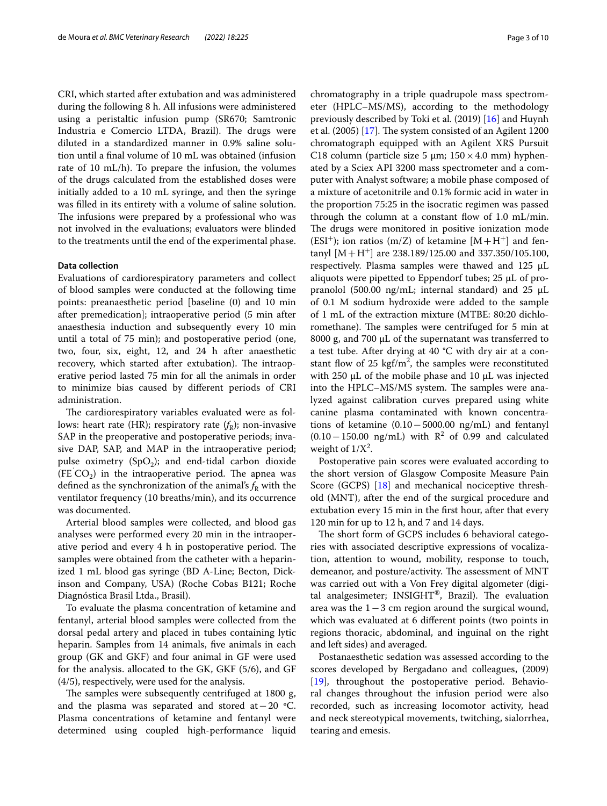CRI, which started after extubation and was administered during the following 8 h. All infusions were administered using a peristaltic infusion pump (SR670; Samtronic Industria e Comercio LTDA, Brazil). The drugs were diluted in a standardized manner in 0.9% saline solution until a fnal volume of 10 mL was obtained (infusion rate of 10 mL/h). To prepare the infusion, the volumes of the drugs calculated from the established doses were initially added to a 10 mL syringe, and then the syringe was flled in its entirety with a volume of saline solution. The infusions were prepared by a professional who was not involved in the evaluations; evaluators were blinded to the treatments until the end of the experimental phase.

#### **Data collection**

Evaluations of cardiorespiratory parameters and collect of blood samples were conducted at the following time points: preanaesthetic period [baseline (0) and 10 min after premedication]; intraoperative period (5 min after anaesthesia induction and subsequently every 10 min until a total of 75 min); and postoperative period (one, two, four, six, eight, 12, and 24 h after anaesthetic recovery, which started after extubation). The intraoperative period lasted 75 min for all the animals in order to minimize bias caused by diferent periods of CRI administration.

The cardiorespiratory variables evaluated were as follows: heart rate (HR); respiratory rate  $(f_R)$ ; non-invasive SAP in the preoperative and postoperative periods; invasive DAP, SAP, and MAP in the intraoperative period; pulse oximetry  $(SpO<sub>2</sub>)$ ; and end-tidal carbon dioxide  $(FE^{\prime}CO_{2})$  in the intraoperative period. The apnea was defined as the synchronization of the animal's  $f_R$  with the ventilator frequency (10 breaths/min), and its occurrence was documented.

Arterial blood samples were collected, and blood gas analyses were performed every 20 min in the intraoperative period and every 4 h in postoperative period. The samples were obtained from the catheter with a heparinized 1 mL blood gas syringe (BD A-Line; Becton, Dickinson and Company, USA) (Roche Cobas B121; Roche Diagnóstica Brasil Ltda., Brasil).

To evaluate the plasma concentration of ketamine and fentanyl, arterial blood samples were collected from the dorsal pedal artery and placed in tubes containing lytic heparin. Samples from 14 animals, fve animals in each group (GK and GKF) and four animal in GF were used for the analysis. allocated to the GK, GKF (5/6), and GF (4/5), respectively, were used for the analysis.

The samples were subsequently centrifuged at 1800 g, and the plasma was separated and stored at−20 ºC. Plasma concentrations of ketamine and fentanyl were determined using coupled high-performance liquid chromatography in a triple quadrupole mass spectrometer (HPLC–MS/MS), according to the methodology previously described by Toki et al. (2019) [\[16](#page-8-15)] and Huynh et al.  $(2005)$  [[17\]](#page-8-16). The system consisted of an Agilent 1200 chromatograph equipped with an Agilent XRS Pursuit C18 column (particle size 5  $\mu$ m; 150 × 4.0 mm) hyphenated by a Sciex API 3200 mass spectrometer and a computer with Analyst software; a mobile phase composed of a mixture of acetonitrile and 0.1% formic acid in water in the proportion 75:25 in the isocratic regimen was passed through the column at a constant flow of  $1.0 \text{ mL/min}$ . The drugs were monitored in positive ionization mode  $(ESI<sup>+</sup>)$ ; ion ratios (m/Z) of ketamine  $[M + H<sup>+</sup>]$  and fentanyl  $[M + H^+]$  are 238.189/125.00 and 337.350/105.100, respectively. Plasma samples were thawed and  $125 \mu L$ aliquots were pipetted to Eppendorf tubes; 25 µL of propranolol (500.00 ng/mL; internal standard) and 25  $\mu$ L of 0.1 M sodium hydroxide were added to the sample of 1 mL of the extraction mixture (MTBE: 80:20 dichloromethane). The samples were centrifuged for 5 min at 8000 g, and 700 µL of the supernatant was transferred to a test tube. After drying at  $40\text{ °C}$  with dry air at a constant flow of 25  $\text{kgf/m}^2$ , the samples were reconstituted with 250  $\mu$ L of the mobile phase and 10  $\mu$ L was injected into the HPLC–MS/MS system. The samples were analyzed against calibration curves prepared using white canine plasma contaminated with known concentrations of ketamine (0.10−5000.00 ng/mL) and fentanyl  $(0.10 - 150.00 \text{ ng/mL})$  with R<sup>2</sup> of 0.99 and calculated weight of  $1/X^2$ .

Postoperative pain scores were evaluated according to the short version of Glasgow Composite Measure Pain Score (GCPS) [[18](#page-8-17)] and mechanical nociceptive threshold (MNT), after the end of the surgical procedure and extubation every 15 min in the frst hour, after that every 120 min for up to 12 h, and 7 and 14 days.

The short form of GCPS includes 6 behavioral categories with associated descriptive expressions of vocalization, attention to wound, mobility, response to touch, demeanor, and posture/activity. The assessment of MNT was carried out with a Von Frey digital algometer (digital analgesimeter;  $INSIGHT^@$ , Brazil). The evaluation area was the 1−3 cm region around the surgical wound, which was evaluated at 6 diferent points (two points in regions thoracic, abdominal, and inguinal on the right and left sides) and averaged.

Postanaesthetic sedation was assessed according to the scores developed by Bergadano and colleagues, (2009) [[19\]](#page-8-18), throughout the postoperative period. Behavioral changes throughout the infusion period were also recorded, such as increasing locomotor activity, head and neck stereotypical movements, twitching, sialorrhea, tearing and emesis.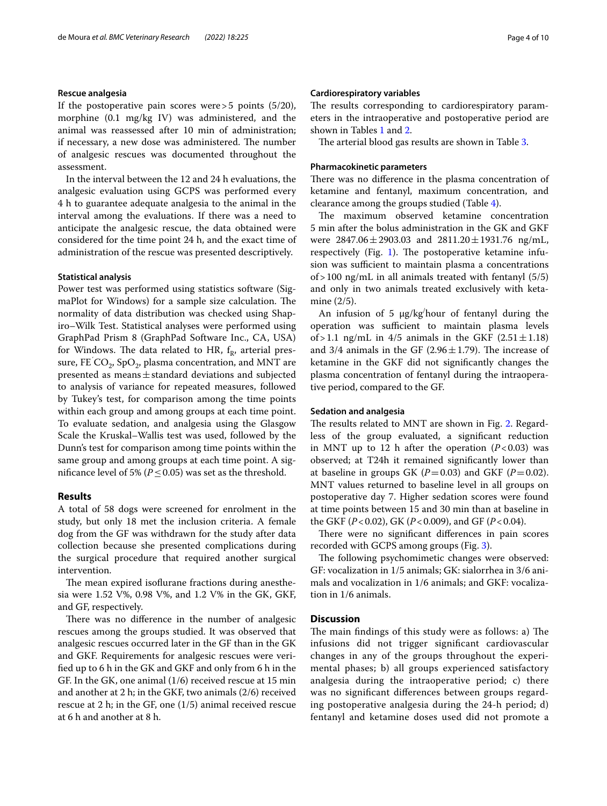#### **Rescue analgesia**

If the postoperative pain scores were>5 points (5/20), morphine (0.1 mg/kg IV) was administered, and the animal was reassessed after 10 min of administration; if necessary, a new dose was administered. The number of analgesic rescues was documented throughout the assessment.

In the interval between the 12 and 24 h evaluations, the analgesic evaluation using GCPS was performed every 4 h to guarantee adequate analgesia to the animal in the interval among the evaluations. If there was a need to anticipate the analgesic rescue, the data obtained were considered for the time point 24 h, and the exact time of administration of the rescue was presented descriptively.

#### **Statistical analysis**

Power test was performed using statistics software (SigmaPlot for Windows) for a sample size calculation. The normality of data distribution was checked using Shapiro–Wilk Test. Statistical analyses were performed using GraphPad Prism 8 (GraphPad Software Inc., CA, USA) for Windows. The data related to HR,  $f_R$ , arterial pressure, FE  $\mathrm{CO}_2$ , Sp $\mathrm{O}_2$ , plasma concentration, and MNT are presented as means  $\pm$  standard deviations and subjected to analysis of variance for repeated measures, followed by Tukey's test, for comparison among the time points within each group and among groups at each time point. To evaluate sedation, and analgesia using the Glasgow Scale the Kruskal–Wallis test was used, followed by the Dunn's test for comparison among time points within the same group and among groups at each time point. A significance level of 5% ( $P \leq 0.05$ ) was set as the threshold.

#### **Results**

A total of 58 dogs were screened for enrolment in the study, but only 18 met the inclusion criteria. A female dog from the GF was withdrawn for the study after data collection because she presented complications during the surgical procedure that required another surgical intervention.

The mean expired isoflurane fractions during anesthesia were 1.52 V%, 0.98 V%, and 1.2 V% in the GK, GKF, and GF, respectively.

There was no difference in the number of analgesic rescues among the groups studied. It was observed that analgesic rescues occurred later in the GF than in the GK and GKF. Requirements for analgesic rescues were verifed up to 6 h in the GK and GKF and only from 6 h in the GF. In the GK, one animal (1/6) received rescue at 15 min and another at 2 h; in the GKF, two animals (2/6) received rescue at 2 h; in the GF, one (1/5) animal received rescue at 6 h and another at 8 h.

#### **Cardiorespiratory variables**

The results corresponding to cardiorespiratory parameters in the intraoperative and postoperative period are shown in Tables [1](#page-4-0) and [2](#page-4-1).

The arterial blood gas results are shown in Table [3.](#page-5-0)

#### **Pharmacokinetic parameters**

There was no difference in the plasma concentration of ketamine and fentanyl, maximum concentration, and clearance among the groups studied (Table [4\)](#page-5-1).

The maximum observed ketamine concentration 5 min after the bolus administration in the GK and GKF were  $2847.06 \pm 2903.03$  and  $2811.20 \pm 1931.76$  ng/mL, respectively (Fig. [1](#page-6-0)). The postoperative ketamine infusion was sufficient to maintain plasma a concentrations of>100 ng/mL in all animals treated with fentanyl (5/5) and only in two animals treated exclusively with ketamine (2/5).

An infusion of 5  $\mu$ g/kg<sup>/</sup>hour of fentanyl during the operation was sufficient to maintain plasma levels of > 1.1 ng/mL in  $4/5$  animals in the GKF  $(2.51 \pm 1.18)$ and 3/4 animals in the GF (2.96 $\pm$ 1.79). The increase of ketamine in the GKF did not signifcantly changes the plasma concentration of fentanyl during the intraoperative period, compared to the GF.

#### **Sedation and analgesia**

The results related to MNT are shown in Fig. [2](#page-6-1). Regardless of the group evaluated, a signifcant reduction in MNT up to 12 h after the operation  $(P<0.03)$  was observed; at T24h it remained signifcantly lower than at baseline in groups GK  $(P=0.03)$  and GKF  $(P=0.02)$ . MNT values returned to baseline level in all groups on postoperative day 7. Higher sedation scores were found at time points between 15 and 30 min than at baseline in the GKF (*P*<0.02), GK (*P*<0.009), and GF (*P*<0.04).

There were no significant differences in pain scores recorded with GCPS among groups (Fig. [3\)](#page-6-2).

The following psychomimetic changes were observed: GF: vocalization in 1/5 animals; GK: sialorrhea in 3/6 animals and vocalization in 1/6 animals; and GKF: vocalization in 1/6 animals.

### **Discussion**

The main findings of this study were as follows: a) The infusions did not trigger signifcant cardiovascular changes in any of the groups throughout the experimental phases; b) all groups experienced satisfactory analgesia during the intraoperative period; c) there was no signifcant diferences between groups regarding postoperative analgesia during the 24-h period; d) fentanyl and ketamine doses used did not promote a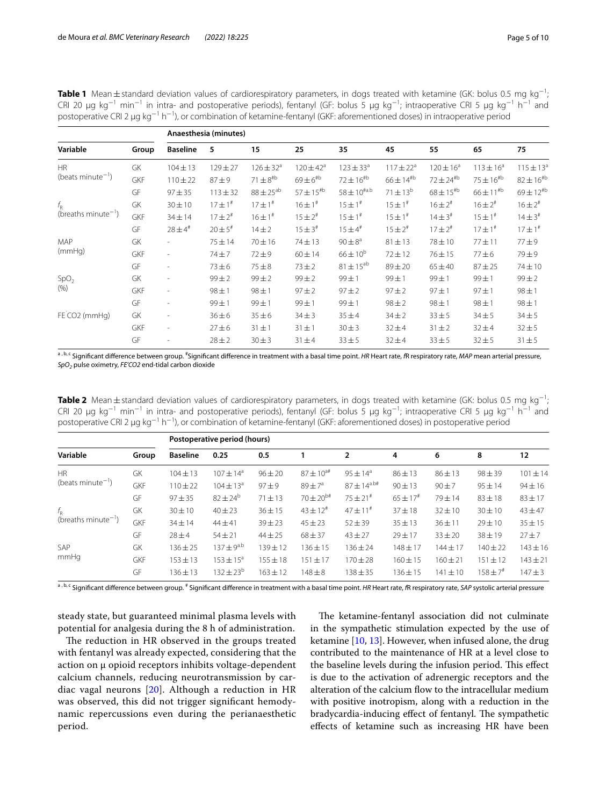<span id="page-4-0"></span>**Table 1** Mean±standard deviation values of cardiorespiratory parameters, in dogs treated with ketamine (GK: bolus 0.5 mg kg<sup>-1</sup>; CRI 20 µg kg<sup>-1</sup> min<sup>-1</sup> in intra- and postoperative periods), fentanyl (GF: bolus 5 µg kg<sup>-1</sup>; intraoperative CRI 5 µg kg<sup>-1</sup> h<sup>-1</sup> and postoperative CRI 2 µg kg<sup>−1</sup> h<sup>−1</sup>), or combination of ketamine-fentanyl (GKF: aforementioned doses) in intraoperative period

|                                                             |            | Anaesthesia (minutes)    |                |                  |                  |                    |                  |                         |                  |                  |
|-------------------------------------------------------------|------------|--------------------------|----------------|------------------|------------------|--------------------|------------------|-------------------------|------------------|------------------|
| Variable                                                    | Group      | <b>Baseline</b>          | 5              | 15               | 25               | 35                 | 45               | 55                      | 65               | 75               |
| <b>HR</b><br>(beats minute <sup><math>-1</math></sup> )     | GK         | $104 \pm 13$             | $129 \pm 27$   | $126 \pm 32^a$   | $120 \pm 42^a$   | $123 \pm 33^a$     | $117 \pm 22^a$   | $120 \pm 16^a$          | $113 \pm 16^a$   | $115 \pm 13^{a}$ |
|                                                             | GKF        | $110 \pm 22$             | $87 + 9$       | $71 \pm 8^{4b}$  | $69 \pm 6^{th}$  | $72 \pm 16^{th}$   | $66 \pm 14^{th}$ | $72 \pm 24^{\text{Hb}}$ | $75 \pm 16^{40}$ | $82 \pm 16^{14}$ |
|                                                             | GF         | $97 + 35$                | $113 + 32$     | $88 \pm 25^{ab}$ | $57 \pm 15^{th}$ | $58 \pm 10^{4a.b}$ | $71 \pm 13^{b}$  | $68 \pm 15^{th}$        | $66 \pm 11^{18}$ | $69 \pm 12^{11}$ |
| $f_{\rm R}$<br>(breaths minute <sup><math>-1</math></sup> ) | GK         | $30 \pm 10$              | $17 \pm 1^*$   | $17 \pm 1^{\#}$  | $16 \pm 1^*$     | $15 \pm 1^*$       | $15 \pm 1^*$     | $16 \pm 2^{*}$          | $16 \pm 2^{*}$   | $16 \pm 2^{*}$   |
|                                                             | GKF        | $34 \pm 14$              | $17 \pm 2^{*}$ | $16 \pm 1^*$     | $15 \pm 2^{*}$   | $15 \pm 1^*$       | $15 \pm 1^*$     | $14 \pm 3^{\#}$         | $15 \pm 1^*$     | $14 \pm 3^{\#}$  |
|                                                             | GF         | $28 \pm 4$ #             | $20 \pm 5^{*}$ | $14 \pm 2$       | $15 \pm 3^{\#}$  | $15 \pm 4^{\#}$    | $15 \pm 2^{#}$   | $17 \pm 2^{\#}$         | $17 \pm 1^*$     | $17 \pm 1^{\#}$  |
| <b>MAP</b><br>(mmHq)                                        | GK         | ٠                        | $75 + 14$      | 70 ± 16          | $74 + 13$        | $90 \pm 8^a$       | $81 \pm 13$      | 78 ± 10                 | $77 + 11$        | 77±9             |
|                                                             | <b>GKF</b> | ٠                        | $74 + 7$       | $72 + 9$         | $60 \pm 14$      | $66 \pm 10^{6}$    | $72 + 12$        | $76 + 15$               | $77 + 6$         | $79 \pm 9$       |
|                                                             | GF         |                          | $73 + 6$       | $75\pm8$         | $73 \pm 2$       | $81 \pm 15^{ab}$   | $89 + 20$        | $65 \pm 40$             | $87 + 25$        | 74 ± 10          |
| SpO <sub>2</sub><br>(% )                                    | GK         |                          | $99 + 2$       | $99 + 2$         | $99 \pm 2$       | $99 \pm 1$         | 99±1             | 99±1                    | $99 \pm 1$       | $99 \pm 2$       |
|                                                             | GKF        | $\overline{\phantom{m}}$ | $98 \pm 1$     | $98 \pm 1$       | $97 + 2$         | $97 + 2$           | $97 + 2$         | $97 + 1$                | $97 + 1$         | $98 \pm 1$       |
|                                                             | GF         | ٠                        | $99 + 1$       | $99 \pm 1$       | $99 \pm 1$       | $99 \pm 1$         | $98 \pm 2$       | $98 \pm 1$              | $98 \pm 1$       | $98 \pm 1$       |
| FE CO2 (mmHg)                                               | GK         |                          | $36 \pm 6$     | $35 \pm 6$       | $34 \pm 3$       | $35 + 4$           | $34 \pm 2$       | $33 + 5$                | $34 + 5$         | $34 + 5$         |
|                                                             | GKF        | $\overline{\phantom{a}}$ | $27 + 6$       | $31 \pm 1$       | $31 \pm 1$       | $30 + 3$           | $32 + 4$         | $31 \pm 2$              | $32 + 4$         | $32 + 5$         |
|                                                             | GF         |                          | $28 + 2$       | $30 + 3$         | $31 + 4$         | $33 + 5$           | $32 + 4$         | $33 + 5$                | $32 + 5$         | $31 + 5$         |
|                                                             |            |                          |                |                  |                  |                    |                  |                         |                  |                  |

<sup>a , b, c</sup> Significant difference between group. <sup>#</sup>Significant difference in treatment with a basal time point. *HR* Heart rate, *f*R respiratory rate, *MAP* mean arterial pressure, *SpO2* pulse oximetry, *FE'CO2* end-tidal carbon dioxide

<span id="page-4-1"></span>**Table 2** Mean±standard deviation values of cardiorespiratory parameters, in dogs treated with ketamine (GK: bolus 0.5 mg kg<sup>-1</sup>; CRI 20 µg kg<sup>-1</sup> min<sup>-1</sup> in intra- and postoperative periods), fentanyl (GF: bolus 5 µg kg<sup>-1</sup>; intraoperative CRI 5 µg kg<sup>-1</sup> h<sup>-1</sup> and postoperative CRI 2 µg kg<sup>-1</sup> h<sup>−1</sup>), or combination of ketamine-fentanyl (GKF: aforementioned doses) in postoperative period

|       | Postoperative period (hours) |                      |              |                  |                     |                          |              |              |              |
|-------|------------------------------|----------------------|--------------|------------------|---------------------|--------------------------|--------------|--------------|--------------|
| Group | <b>Baseline</b>              | 0.25                 | 0.5          |                  | $\overline{2}$      | 4                        | 6            | 8            | 12           |
| GK    | $104 \pm 13$                 | $107 \pm 14^{\circ}$ | $96 \pm 20$  | $87 \pm 10^{3#}$ | $95 \pm 14^{\circ}$ | $86 \pm 13$              | $86 \pm 13$  | $98 + 39$    | $101 \pm 14$ |
| GKF   | $110 \pm 22$                 | $104 \pm 13^a$       | $97 \pm 9$   | $89 + 7^a$       | $87 \pm 14^{a.b#}$  | $90 \pm 13$              | $90 + 7$     | $95 \pm 14$  | $94 \pm 16$  |
| GF    | $97 + 35$                    | $82 \pm 24^b$        | $71 \pm 13$  | $70 \pm 20^{b#}$ | $75 \pm 21^{\#}$    | $65 \pm 17$ <sup>#</sup> | $79 + 14$    | $83 + 18$    | $83 + 17$    |
| GK    | $30 \pm 10$                  | $40 \pm 23$          | $36 \pm 15$  | $43 \pm 12^{4}$  | $47 \pm 11^{#}$     | $37 + 18$                | $32 \pm 10$  | $30 \pm 10$  | $43 + 47$    |
| GKF   | $34 \pm 14$                  | $44 \pm 41$          | $39 + 23$    | $45 + 23$        | $52 + 39$           | $35 + 13$                | $36 + 11$    | $29 \pm 10$  | $35 + 15$    |
| GF    | $28 + 4$                     | $54 \pm 21$          | $44 \pm 25$  | $68 + 37$        | $43 + 27$           | $29 \pm 17$              | $33 + 20$    | $38 + 19$    | $27 + 7$     |
| GK    | $136 \pm 25$                 | $137 \pm 9^{a,b}$    | $139 + 12$   | $136 \pm 15$     | $136 \pm 24$        | $148 + 17$               | $144 \pm 17$ | $140 \pm 22$ | $143 \pm 16$ |
| GKF   | $153 \pm 13$                 | $153 \pm 15^{\circ}$ | $155 + 18$   | $151 + 17$       | $170 + 28$          | $160 + 15$               | $160 + 21$   | $151 \pm 12$ | $143 \pm 21$ |
| GF    | $136 \pm 13$                 | $132 \pm 23^{b}$     | $163 \pm 12$ | $148 + 8$        | $138 + 35$          | $136 \pm 15$             | $141 \pm 10$ | $158 \pm 74$ | $147 + 3$    |
|       |                              |                      |              |                  |                     |                          |              |              |              |

<sup>a , b, c</sup> Significant difference between group. <sup>#</sup> Significant difference in treatment with a basal time point. *HR* Heart rate, *f*R respiratory rate, *SAP* systolic arterial pressure

steady state, but guaranteed minimal plasma levels with potential for analgesia during the 8 h of administration.

The reduction in HR observed in the groups treated with fentanyl was already expected, considering that the action on µ opioid receptors inhibits voltage-dependent calcium channels, reducing neurotransmission by cardiac vagal neurons [[20](#page-8-19)]. Although a reduction in HR was observed, this did not trigger signifcant hemodynamic repercussions even during the perianaesthetic period.

The ketamine-fentanyl association did not culminate in the sympathetic stimulation expected by the use of ketamine  $[10, 13]$  $[10, 13]$  $[10, 13]$ . However, when infused alone, the drug contributed to the maintenance of HR at a level close to the baseline levels during the infusion period. This effect is due to the activation of adrenergic receptors and the alteration of the calcium flow to the intracellular medium with positive inotropism, along with a reduction in the bradycardia-inducing effect of fentanyl. The sympathetic efects of ketamine such as increasing HR have been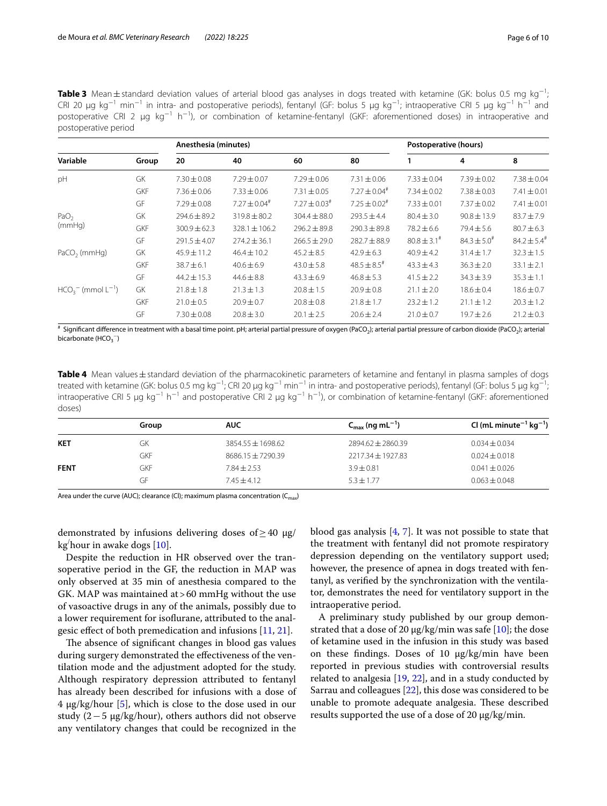<span id="page-5-0"></span>**Table 3** Mean±standard deviation values of arterial blood gas analyses in dogs treated with ketamine (GK: bolus 0.5 mg kg<sup>-1</sup>; CRI 20 µg kg<sup>-1</sup> min<sup>-1</sup> in intra- and postoperative periods), fentanyl (GF: bolus 5 µg kg<sup>-1</sup>; intraoperative CRI 5 µg kg<sup>-1</sup> h<sup>-1</sup> and postoperative CRI 2 µg kg<sup>-1</sup> h<sup>-1</sup>), or combination of ketamine-fentanyl (GKF: aforementioned doses) in intraoperative and postoperative period

|                                |            | Anesthesia (minutes) |                            | Postoperative (hours) |                            |                     |                           |                           |
|--------------------------------|------------|----------------------|----------------------------|-----------------------|----------------------------|---------------------|---------------------------|---------------------------|
| Variable                       | Group      | 20                   | 40                         | 60                    | 80                         |                     | 4                         | 8                         |
| pH                             | GK         | $7.30 \pm 0.08$      | $7.29 \pm 0.07$            | $7.29 \pm 0.06$       | $7.31 \pm 0.06$            | $7.33 \pm 0.04$     | $7.39 \pm 0.02$           | $7.38 \pm 0.04$           |
|                                | <b>GKF</b> | $7.36 \pm 0.06$      | $7.33 \pm 0.06$            | $7.31 \pm 0.05$       | $7.27 \pm 0.04^{\text{*}}$ | $7.34 \pm 0.02$     | $7.38 \pm 0.03$           | $7.41 \pm 0.01$           |
|                                | GF         | $7.29 \pm 0.08$      | $7.27 \pm 0.04^{\text{*}}$ | $7.27 \pm 0.03$ #     | $7.25 \pm 0.02$ #          | $7.33 \pm 0.01$     | $7.37 \pm 0.02$           | $7.41 \pm 0.01$           |
| PaO <sub>2</sub><br>(mmHq)     | GK         | $294.6 \pm 89.2$     | $319.8 \pm 80.2$           | $304.4 \pm 88.0$      | $293.5 \pm 4.4$            | $80.4 \pm 3.0$      | $90.8 \pm 13.9$           | $83.7 \pm 7.9$            |
|                                | <b>GKF</b> | $300.9 \pm 62.3$     | $328.1 \pm 106.2$          | $296.2 \pm 89.8$      | $290.3 \pm 89.8$           | $78.2 \pm 6.6$      | $79.4 \pm 5.6$            | $80.7 \pm 6.3$            |
|                                | GF         | $291.5 \pm 4.07$     | $274.2 \pm 36.1$           | $266.5 \pm 29.0$      | $282.7 \pm 88.9$           | $80.8 \pm 3.1^{\#}$ | $84.3 \pm 5.0^{\text{*}}$ | $84.2 \pm 5.4^{\text{*}}$ |
| $PaCO2$ (mmHq)                 | GK         | $45.9 \pm 11.2$      | $46.4 \pm 10.2$            | $45.2 \pm 8.5$        | $42.9 \pm 6.3$             | $40.9 \pm 4.2$      | $31.4 \pm 1.7$            | $32.3 \pm 1.5$            |
|                                | <b>GKF</b> | $38.7 \pm 6.1$       | $40.6 \pm 6.9$             | $43.0 \pm 5.8$        | $48.5 \pm 8.5^{\#}$        | $43.3 \pm 4.3$      | $36.3 \pm 2.0$            | $33.1 \pm 2.1$            |
|                                | GF         | $44.2 \pm 15.3$      | $44.6 \pm 8.8$             | $43.3 \pm 6.9$        | $46.8 \pm 5.3$             | $41.5 \pm 2.2$      | $34.3 \pm 3.9$            | $35.3 \pm 1.1$            |
| $HCO3$ (mmol L <sup>-1</sup> ) | GK         | $21.8 \pm 1.8$       | $21.3 \pm 1.3$             | $20.8 \pm 1.5$        | $20.9 \pm 0.8$             | $21.1 \pm 2.0$      | $18.6 \pm 0.4$            | $18.6 \pm 0.7$            |
|                                | <b>GKF</b> | $21.0 \pm 0.5$       | $20.9 \pm 0.7$             | $20.8 \pm 0.8$        | $21.8 \pm 1.7$             | $23.2 \pm 1.2$      | $21.1 \pm 1.2$            | $20.3 \pm 1.2$            |
|                                | GF         | $7.30 \pm 0.08$      | $20.8 \pm 3.0$             | $20.1 \pm 2.5$        | $20.6 \pm 2.4$             | $21.0 \pm 0.7$      | $19.7 \pm 2.6$            | $21.2 \pm 0.3$            |

 $^\ast$  Significant difference in treatment with a basal time point. pH; arterial partial pressure of oxygen (PaCO<sub>2</sub>); arterial partial pressure of carbon dioxide (PaCO<sub>2</sub>); arterial bicarbonate (HCO $_3^-$ )

<span id="page-5-1"></span>Table 4 Mean values ± standard deviation of the pharmacokinetic parameters of ketamine and fentanyl in plasma samples of dogs treated with ketamine (GK: bolus 0.5 mg kg<sup>−1</sup>; CRI 20 µg kg<sup>−1</sup> min<sup>−1</sup> in intra- and postoperative periods), fentanyl (GF: bolus 5 µg kg<sup>−1</sup>; intraoperative CRI 5 μg kg<sup>−1</sup> h<sup>−1</sup> and postoperative CRI 2 μg kg<sup>−1</sup> h<sup>−1</sup>), or combination of ketamine-fentanyl (GKF: aforementioned doses)

|             | Group | <b>AUC</b>            | $C_{\rm max}$ (ng mL <sup>-1</sup> ) | CI (mL minute <sup>-1</sup> kg <sup>-1</sup> ) |
|-------------|-------|-----------------------|--------------------------------------|------------------------------------------------|
| <b>KET</b>  | GK    | $3854.55 \pm 1698.62$ | $7894.67 + 7860.39$                  | $0.034 \pm 0.034$                              |
|             | GKF   | 8686.15 ± 7290.39     | 2217.34 ± 1927.83                    | $0.024 \pm 0.018$                              |
| <b>FENT</b> | GKF   | $7.84 \pm 2.53$       | $3.9 + 0.81$                         | $0.041 \pm 0.026$                              |
|             | GF    | $7.45 + 4.12$         | $5.3 \pm 1.77$                       | $0.063 \pm 0.048$                              |

Area under the curve (AUC); clearance (Cl); maximum plasma concentration ( $C_{\text{max}}$ )

demonstrated by infusions delivering doses of  $\geq$  40  $\mu$ g/ kg/ hour in awake dogs [\[10\]](#page-8-9).

Despite the reduction in HR observed over the transoperative period in the GF, the reduction in MAP was only observed at 35 min of anesthesia compared to the GK. MAP was maintained at>60 mmHg without the use of vasoactive drugs in any of the animals, possibly due to a lower requirement for isofurane, attributed to the analgesic efect of both premedication and infusions [[11,](#page-8-10) [21\]](#page-9-0).

The absence of significant changes in blood gas values during surgery demonstrated the efectiveness of the ventilation mode and the adjustment adopted for the study. Although respiratory depression attributed to fentanyl has already been described for infusions with a dose of 4 µg/kg/hour [[5\]](#page-8-4), which is close to the dose used in our study (2−5 µg/kg/hour), others authors did not observe any ventilatory changes that could be recognized in the

blood gas analysis [\[4](#page-8-3), [7](#page-8-6)]. It was not possible to state that the treatment with fentanyl did not promote respiratory depression depending on the ventilatory support used; however, the presence of apnea in dogs treated with fentanyl, as verifed by the synchronization with the ventilator, demonstrates the need for ventilatory support in the intraoperative period.

A preliminary study published by our group demonstrated that a dose of 20  $\mu$ g/kg/min was safe [\[10\]](#page-8-9); the dose of ketamine used in the infusion in this study was based on these fndings. Doses of 10 µg/kg/min have been reported in previous studies with controversial results related to analgesia  $[19, 22]$  $[19, 22]$  $[19, 22]$  $[19, 22]$  $[19, 22]$ , and in a study conducted by Sarrau and colleagues [\[22](#page-9-1)], this dose was considered to be unable to promote adequate analgesia. These described results supported the use of a dose of 20 µg/kg/min.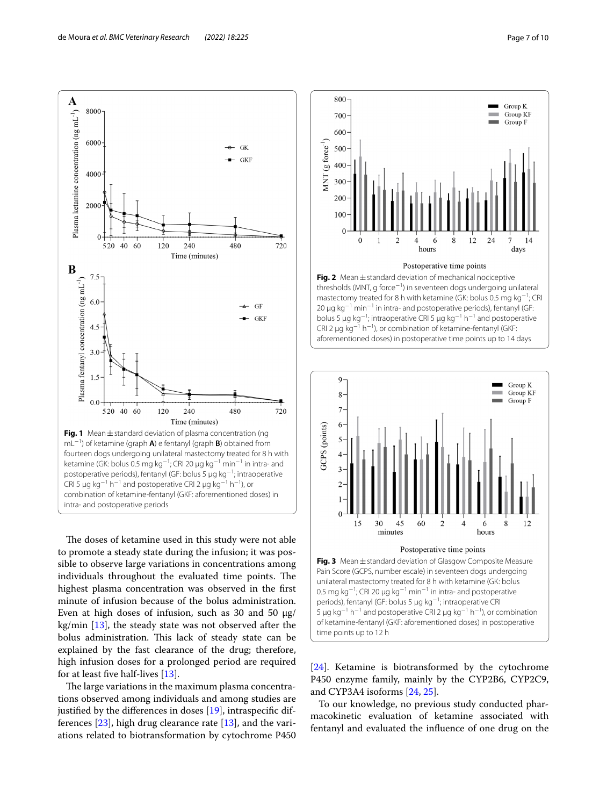

<span id="page-6-0"></span>The doses of ketamine used in this study were not able to promote a steady state during the infusion; it was possible to observe large variations in concentrations among individuals throughout the evaluated time points. The highest plasma concentration was observed in the frst minute of infusion because of the bolus administration. Even at high doses of infusion, such as 30 and 50  $\mu$ g/ kg/min  $[13]$  $[13]$ , the steady state was not observed after the bolus administration. This lack of steady state can be explained by the fast clearance of the drug; therefore, high infusion doses for a prolonged period are required for at least fve half-lives [\[13\]](#page-8-12).

The large variations in the maximum plasma concentrations observed among individuals and among studies are justifed by the diferences in doses [\[19](#page-8-18)], intraspecifc differences [\[23](#page-9-2)], high drug clearance rate [[13\]](#page-8-12), and the variations related to biotransformation by cytochrome P450



<span id="page-6-1"></span>

<span id="page-6-2"></span>[[24\]](#page-9-3). Ketamine is biotransformed by the cytochrome P450 enzyme family, mainly by the CYP2B6, CYP2C9, and CYP3A4 isoforms [\[24,](#page-9-3) [25](#page-9-4)].

To our knowledge, no previous study conducted pharmacokinetic evaluation of ketamine associated with fentanyl and evaluated the infuence of one drug on the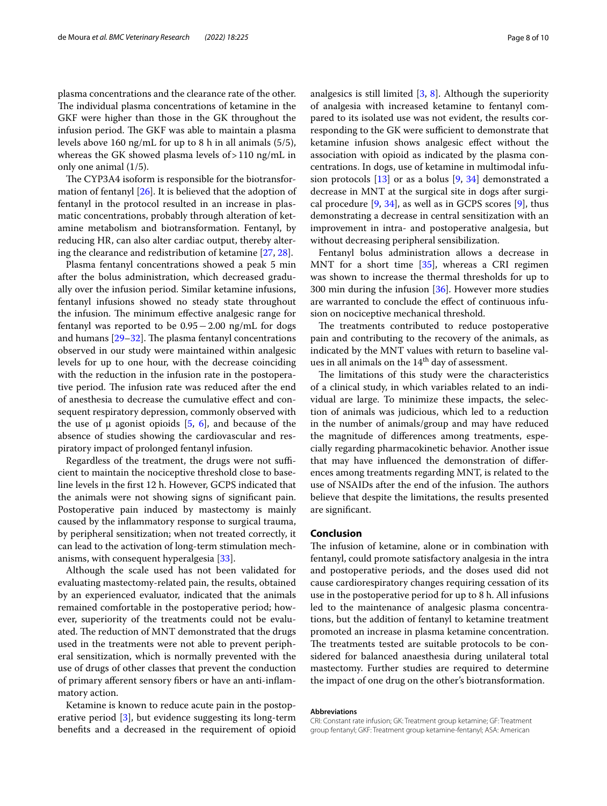plasma concentrations and the clearance rate of the other. The individual plasma concentrations of ketamine in the GKF were higher than those in the GK throughout the infusion period. The GKF was able to maintain a plasma levels above 160 ng/mL for up to 8 h in all animals (5/5), whereas the GK showed plasma levels of  $>110$  ng/mL in only one animal (1/5).

The CYP3A4 isoform is responsible for the biotransformation of fentanyl [\[26](#page-9-5)]. It is believed that the adoption of fentanyl in the protocol resulted in an increase in plasmatic concentrations, probably through alteration of ketamine metabolism and biotransformation. Fentanyl, by reducing HR, can also alter cardiac output, thereby altering the clearance and redistribution of ketamine [\[27,](#page-9-6) [28](#page-9-7)].

Plasma fentanyl concentrations showed a peak 5 min after the bolus administration, which decreased gradually over the infusion period. Similar ketamine infusions, fentanyl infusions showed no steady state throughout the infusion. The minimum effective analgesic range for fentanyl was reported to be 0.95−2.00 ng/mL for dogs and humans  $[29-32]$  $[29-32]$ . The plasma fentanyl concentrations observed in our study were maintained within analgesic levels for up to one hour, with the decrease coinciding with the reduction in the infusion rate in the postoperative period. The infusion rate was reduced after the end of anesthesia to decrease the cumulative efect and consequent respiratory depression, commonly observed with the use of  $\mu$  agonist opioids [[5,](#page-8-4) [6](#page-8-5)], and because of the absence of studies showing the cardiovascular and respiratory impact of prolonged fentanyl infusion.

Regardless of the treatment, the drugs were not sufficient to maintain the nociceptive threshold close to baseline levels in the frst 12 h. However, GCPS indicated that the animals were not showing signs of signifcant pain. Postoperative pain induced by mastectomy is mainly caused by the infammatory response to surgical trauma, by peripheral sensitization; when not treated correctly, it can lead to the activation of long-term stimulation mechanisms, with consequent hyperalgesia [[33\]](#page-9-10).

Although the scale used has not been validated for evaluating mastectomy-related pain, the results, obtained by an experienced evaluator, indicated that the animals remained comfortable in the postoperative period; however, superiority of the treatments could not be evaluated. The reduction of MNT demonstrated that the drugs used in the treatments were not able to prevent peripheral sensitization, which is normally prevented with the use of drugs of other classes that prevent the conduction of primary aferent sensory fbers or have an anti-infammatory action.

Ketamine is known to reduce acute pain in the postoperative period [[3\]](#page-8-2), but evidence suggesting its long-term benefts and a decreased in the requirement of opioid analgesics is still limited [[3,](#page-8-2) [8](#page-8-7)]. Although the superiority of analgesia with increased ketamine to fentanyl compared to its isolated use was not evident, the results corresponding to the GK were sufficient to demonstrate that ketamine infusion shows analgesic efect without the association with opioid as indicated by the plasma concentrations. In dogs, use of ketamine in multimodal infusion protocols [\[13\]](#page-8-12) or as a bolus [\[9,](#page-8-8) [34](#page-9-11)] demonstrated a decrease in MNT at the surgical site in dogs after surgical procedure  $[9, 34]$  $[9, 34]$  $[9, 34]$  $[9, 34]$ , as well as in GCPS scores  $[9]$  $[9]$ , thus demonstrating a decrease in central sensitization with an improvement in intra- and postoperative analgesia, but without decreasing peripheral sensibilization.

Fentanyl bolus administration allows a decrease in MNT for a short time [\[35\]](#page-9-12), whereas a CRI regimen was shown to increase the thermal thresholds for up to 300 min during the infusion [\[36](#page-9-13)]. However more studies are warranted to conclude the efect of continuous infusion on nociceptive mechanical threshold.

The treatments contributed to reduce postoperative pain and contributing to the recovery of the animals, as indicated by the MNT values with return to baseline values in all animals on the  $14<sup>th</sup>$  day of assessment.

The limitations of this study were the characteristics of a clinical study, in which variables related to an individual are large. To minimize these impacts, the selection of animals was judicious, which led to a reduction in the number of animals/group and may have reduced the magnitude of diferences among treatments, especially regarding pharmacokinetic behavior. Another issue that may have infuenced the demonstration of diferences among treatments regarding MNT, is related to the use of NSAIDs after the end of the infusion. The authors believe that despite the limitations, the results presented are signifcant.

#### **Conclusion**

The infusion of ketamine, alone or in combination with fentanyl, could promote satisfactory analgesia in the intra and postoperative periods, and the doses used did not cause cardiorespiratory changes requiring cessation of its use in the postoperative period for up to 8 h. All infusions led to the maintenance of analgesic plasma concentrations, but the addition of fentanyl to ketamine treatment promoted an increase in plasma ketamine concentration. The treatments tested are suitable protocols to be considered for balanced anaesthesia during unilateral total mastectomy. Further studies are required to determine the impact of one drug on the other's biotransformation.

#### **Abbreviations**

CRI: Constant rate infusion; GK: Treatment group ketamine; GF: Treatment group fentanyl; GKF: Treatment group ketamine-fentanyl; ASA: American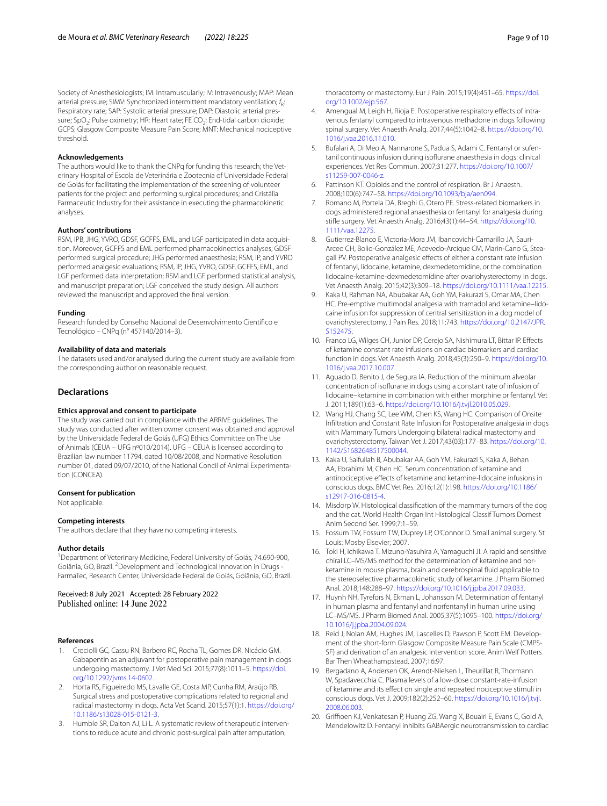Society of Anesthesiologists; IM: Intramuscularly; IV: Intravenously; MAP: Mean arterial pressure; SIMV: Synchronized intermittent mandatory ventilation;  $f<sub>b</sub>$ : Respiratory rate; SAP: Systolic arterial pressure; DAP: Diastolic arterial pressure; SpO<sub>2</sub>: Pulse oximetry; HR: Heart rate; FE<sup>'</sup>CO<sub>2</sub>: End-tidal carbon dioxide; GCPS: Glasgow Composite Measure Pain Score; MNT: Mechanical nociceptive threshold.

#### **Acknowledgements**

The authors would like to thank the CNPq for funding this research; the Veterinary Hospital of Escola de Veterinária e Zootecnia of Universidade Federal de Goiás for facilitating the implementation of the screening of volunteer patients for the project and performing surgical procedures; and Cristália Farmaceutic Industry for their assistance in executing the pharmacokinetic analyses.

#### **Authors' contributions**

RSM, IPB, JHG, YVRO, GDSF, GCFFS, EML, and LGF participated in data acquisition. Moreover, GCFFS and EML performed phamacokinectics analyses; GDSF performed surgical procedure; JHG performed anaesthesia; RSM, IP, and YVRO performed analgesic evaluations; RSM, IP, JHG, YVRO, GDSF, GCFFS, EML, and LGF performed data interpretation; RSM and LGF performed statistical analysis, and manuscript preparation; LGF conceived the study design. All authors reviewed the manuscript and approved the fnal version.

#### **Funding**

Research funded by Conselho Nacional de Desenvolvimento Científco e Tecnológico – CNPq (n° 457140/2014–3).

#### **Availability of data and materials**

The datasets used and/or analysed during the current study are available from the corresponding author on reasonable request.

#### **Declarations**

#### **Ethics approval and consent to participate**

The study was carried out in compliance with the ARRIVE guidelines. The study was conducted after written owner consent was obtained and approval by the Universidade Federal de Goiás (UFG) Ethics Committee on The Use of Animals (CEUA – UFG nº010/2014). UFG – CEUA is licensed according to Brazilian law number 11794, dated 10/08/2008, and Normative Resolution number 01, dated 09/07/2010, of the National Concil of Animal Experimentation (CONCEA).

#### **Consent for publication**

Not applicable.

#### **Competing interests**

The authors declare that they have no competing interests.

#### **Author details**

<sup>1</sup> Department of Veterinary Medicine, Federal University of Goiás, 74.690-900, Goiânia, GO, Brazil. <sup>2</sup> Development and Technological Innovation in Drugs -FarmaTec, Research Center, Universidade Federal de Goiás, Goiânia, GO, Brazil.

Received: 8 July 2021 Accepted: 28 February 2022 Published online: 14 June 2022

#### **References**

- <span id="page-8-0"></span>1. Crociolli GC, Cassu RN, Barbero RC, Rocha TL, Gomes DR, Nicácio GM. Gabapentin as an adjuvant for postoperative pain management in dogs undergoing mastectomy. J Vet Med Sci. 2015;77(8):1011–5. [https://doi.](https://doi.org/10.1292/jvms.14-0602) [org/10.1292/jvms.14-0602.](https://doi.org/10.1292/jvms.14-0602)
- <span id="page-8-1"></span>2. Horta RS, Figueiredo MS, Lavalle GE, Costa MP, Cunha RM, Araújo RB. Surgical stress and postoperative complications related to regional and radical mastectomy in dogs. Acta Vet Scand. 2015;57(1):1. [https://doi.org/](https://doi.org/10.1186/s13028-015-0121-3) [10.1186/s13028-015-0121-3.](https://doi.org/10.1186/s13028-015-0121-3)
- <span id="page-8-2"></span>3. Humble SR, Dalton AJ, Li L. A systematic review of therapeutic interventions to reduce acute and chronic post-surgical pain after amputation,

thoracotomy or mastectomy. Eur J Pain. 2015;19(4):451–65. [https://doi.](https://doi.org/10.1002/ejp.567) [org/10.1002/ejp.567](https://doi.org/10.1002/ejp.567).

- <span id="page-8-3"></span>4. Amengual M, Leigh H, Rioja E. Postoperative respiratory efects of intravenous fentanyl compared to intravenous methadone in dogs following spinal surgery. Vet Anaesth Analg. 2017;44(5):1042–8. [https://doi.org/10.](https://doi.org/10.1016/j.vaa.2016.11.010) [1016/j.vaa.2016.11.010.](https://doi.org/10.1016/j.vaa.2016.11.010)
- <span id="page-8-4"></span>5. Bufalari A, Di Meo A, Nannarone S, Padua S, Adami C. Fentanyl or sufentanil continuous infusion during isofurane anaesthesia in dogs: clinical experiences. Vet Res Commun. 2007;31:277. [https://doi.org/10.1007/](https://doi.org/10.1007/s11259-007-0046-z) [s11259-007-0046-z](https://doi.org/10.1007/s11259-007-0046-z).
- <span id="page-8-5"></span>6. Pattinson KT. Opioids and the control of respiration. Br J Anaesth. 2008;100(6):747–58. <https://doi.org/10.1093/bja/aen094>.
- <span id="page-8-6"></span>7. Romano M, Portela DA, Breghi G, Otero PE. Stress-related biomarkers in dogs administered regional anaesthesia or fentanyl for analgesia during stife surgery. Vet Anaesth Analg. 2016;43(1):44–54. [https://doi.org/10.](https://doi.org/10.1111/vaa.12275) [1111/vaa.12275.](https://doi.org/10.1111/vaa.12275)
- <span id="page-8-7"></span>8. Gutierrez-Blanco E, Victoria-Mora JM, Ibancovichi-Camarillo JA, Sauri-Arceo CH, Bolio-González ME, Acevedo-Arcique CM, Marin-Cano G, Steagall PV. Postoperative analgesic efects of either a constant rate infusion of fentanyl, lidocaine, ketamine, dexmedetomidine, or the combination lidocaine-ketamine-dexmedetomidine after ovariohysterectomy in dogs. Vet Anaesth Analg. 2015;42(3):309–18. <https://doi.org/10.1111/vaa.12215>.
- <span id="page-8-8"></span>Kaka U, Rahman NA, Abubakar AA, Goh YM, Fakurazi S, Omar MA, Chen HC. Pre-emptive multimodal analgesia with tramadol and ketamine–lidocaine infusion for suppression of central sensitization in a dog model of ovariohysterectomy. J Pain Res. 2018;11:743. [https://doi.org/10.2147/JPR.](https://doi.org/10.2147/JPR.S152475) [S152475](https://doi.org/10.2147/JPR.S152475).
- <span id="page-8-9"></span>10. Franco LG, Wilges CH, Junior DP, Cerejo SA, Nishimura LT, Bittar IP. Efects of ketamine constant rate infusions on cardiac biomarkers and cardiac function in dogs. Vet Anaesth Analg. 2018;45(3):250–9. [https://doi.org/10.](https://doi.org/10.1016/j.vaa.2017.10.007) [1016/j.vaa.2017.10.007.](https://doi.org/10.1016/j.vaa.2017.10.007)
- <span id="page-8-10"></span>11. Aguado D, Benito J, de Segura IA. Reduction of the minimum alveolar concentration of isofurane in dogs using a constant rate of infusion of lidocaine–ketamine in combination with either morphine or fentanyl. Vet J. 2011;189(1):63–6. <https://doi.org/10.1016/j.tvjl.2010.05.029>.
- <span id="page-8-11"></span>12. Wang HJ, Chang SC, Lee WM, Chen KS, Wang HC. Comparison of Onsite Infltration and Constant Rate Infusion for Postoperative analgesia in dogs with Mammary Tumors Undergoing bilateral radical mastectomy and ovariohysterectomy. Taiwan Vet J. 2017;43(03):177–83. [https://doi.org/10.](https://doi.org/10.1142/S1682648517500044) [1142/S1682648517500044](https://doi.org/10.1142/S1682648517500044).
- <span id="page-8-12"></span>13. Kaka U, Saifullah B, Abubakar AA, Goh YM, Fakurazi S, Kaka A, Behan AA, Ebrahimi M, Chen HC. Serum concentration of ketamine and antinociceptive efects of ketamine and ketamine-lidocaine infusions in conscious dogs. BMC Vet Res. 2016;12(1):198. [https://doi.org/10.1186/](https://doi.org/10.1186/s12917-016-0815-4) [s12917-016-0815-4.](https://doi.org/10.1186/s12917-016-0815-4)
- <span id="page-8-13"></span>14. Misdorp W. Histological classifcation of the mammary tumors of the dog and the cat. World Health Organ Int Histological Classif Tumors Domest Anim Second Ser. 1999;7:1–59.
- <span id="page-8-14"></span>15. Fossum TW, Fossum TW, Duprey LP, O'Connor D. Small animal surgery. St Louis: Mosby Elsevier; 2007.
- <span id="page-8-15"></span>16. Toki H, Ichikawa T, Mizuno-Yasuhira A, Yamaguchi JI. A rapid and sensitive chiral LC–MS/MS method for the determination of ketamine and norketamine in mouse plasma, brain and cerebrospinal fuid applicable to the stereoselective pharmacokinetic study of ketamine. J Pharm Biomed Anal. 2018;148:288–97.<https://doi.org/10.1016/j.jpba.2017.09.033>.
- <span id="page-8-16"></span>17. Huynh NH, Tyrefors N, Ekman L, Johansson M. Determination of fentanyl in human plasma and fentanyl and norfentanyl in human urine using LC–MS/MS. J Pharm Biomed Anal. 2005;37(5):1095–100. [https://doi.org/](https://doi.org/10.1016/j.jpba.2004.09.024) [10.1016/j.jpba.2004.09.024.](https://doi.org/10.1016/j.jpba.2004.09.024)
- <span id="page-8-17"></span>18. Reid J, Nolan AM, Hughes JM, Lascelles D, Pawson P, Scott EM. Development of the short-form Glasgow Composite Measure Pain Scale (CMPS-SF) and derivation of an analgesic intervention score. Anim Welf Potters Bar Then Wheathampstead. 2007;16:97.
- <span id="page-8-18"></span>19. Bergadano A, Andersen OK, Arendt-Nielsen L, Theurillat R, Thormann W, Spadavecchia C. Plasma levels of a low-dose constant-rate-infusion of ketamine and its efect on single and repeated nociceptive stimuli in conscious dogs. Vet J. 2009;182(2):252–60. [https://doi.org/10.1016/j.tvjl.](https://doi.org/10.1016/j.tvjl.2008.06.003) [2008.06.003](https://doi.org/10.1016/j.tvjl.2008.06.003).
- <span id="page-8-19"></span>20. Grifoen KJ, Venkatesan P, Huang ZG, Wang X, Bouairi E, Evans C, Gold A, Mendelowitz D. Fentanyl inhibits GABAergic neurotransmission to cardiac